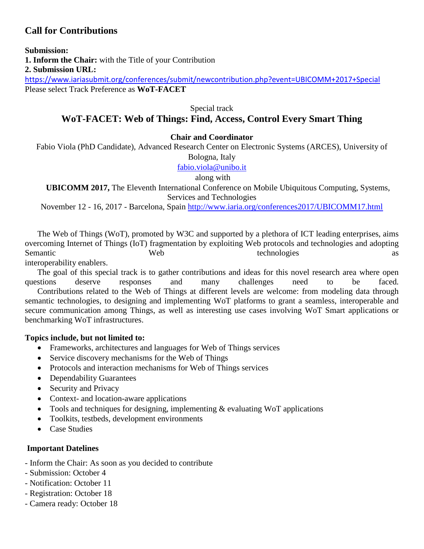# **Call for Contributions**

**Submission:**

**1. Inform the Chair:** with the Title of your Contribution

**2. Submission URL:**

<https://www.iariasubmit.org/conferences/submit/newcontribution.php?event=UBICOMM+2017+Special> Please select Track Preference as **WoT-FACET**

Special track

# **WoT-FACET: Web of Things: Find, Access, Control Every Smart Thing**

#### **Chair and Coordinator**

Fabio Viola (PhD Candidate), Advanced Research Center on Electronic Systems (ARCES), University of

Bologna, Italy

[fabio.viola@unibo.it](mailto:fabio.viola@unibo.it)

along with

**UBICOMM 2017,** The Eleventh International Conference on Mobile Ubiquitous Computing, Systems, Services and Technologies

November 12 - 16, 2017 - Barcelona, Spain <http://www.iaria.org/conferences2017/UBICOMM17.html>

The Web of Things (WoT), promoted by W3C and supported by a plethora of ICT leading enterprises, aims overcoming Internet of Things (IoT) fragmentation by exploiting Web protocols and technologies and adopting Semantic Web technologies as as

interoperability enablers.

The goal of this special track is to gather contributions and ideas for this novel research area where open questions deserve responses and many challenges need to be faced.

Contributions related to the Web of Things at different levels are welcome: from modeling data through semantic technologies, to designing and implementing WoT platforms to grant a seamless, interoperable and secure communication among Things, as well as interesting use cases involving WoT Smart applications or benchmarking WoT infrastructures.

#### **Topics include, but not limited to:**

- Frameworks, architectures and languages for Web of Things services
- Service discovery mechanisms for the Web of Things
- Protocols and interaction mechanisms for Web of Things services
- Dependability Guarantees
- Security and Privacy
- Context- and location-aware applications
- Tools and techniques for designing, implementing & evaluating WoT applications
- Toolkits, testbeds, development environments
- Case Studies

### **Important Datelines**

- Inform the Chair: As soon as you decided to contribute
- Submission: October 4
- Notification: October 11
- Registration: October 18
- Camera ready: October 18